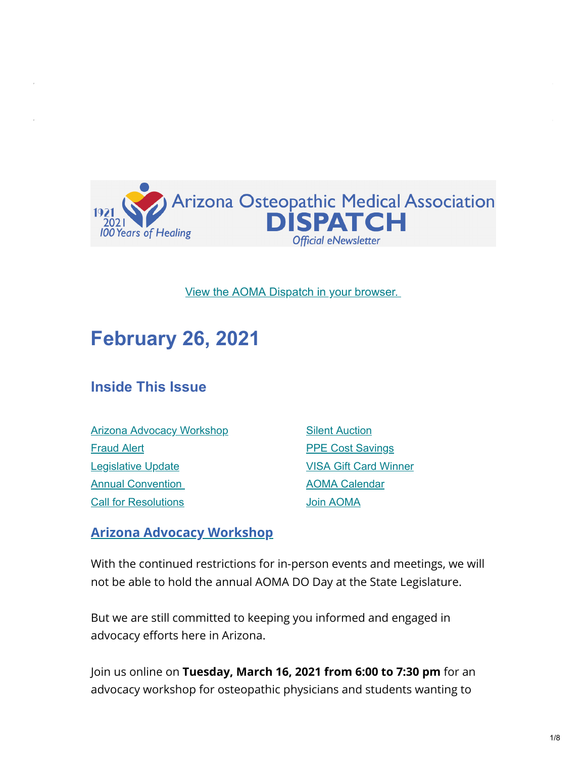

#### [View the AOMA Dispatch in your browser.](https://www.az-osteo.org/page/Dispatch)

# **February 26, 2021**

### **Inside This Issue**

[Arizona Advocacy Workshop](#page-0-0) [Fraud Alert](#page-1-0) **[Legislative Update](#page-2-0) Annual Convention** [Call for Resolutions](#page-4-0)

**[Silent Auction](#page-5-0) [PPE Cost Savings](#page-6-0)** [VISA Gift Card Winner](#page-6-1) [AOMA Calendar](https://www.az-osteo.org/events/event_list.asp) [Join AOMA](http://www.az-osteo.org/Join)

#### <span id="page-0-0"></span>**Arizona Advocacy Workshop**

With the continued restrictions for in-person events and meetings, we will not be able to hold the annual AOMA DO Day at the State Legislature.

But we are still committed to keeping you informed and engaged in advocacy efforts here in Arizona.

Join us online on **Tuesday, March 16, 2021 from 6:00 to 7:30 pm** for an advocacy workshop for osteopathic physicians and students wanting to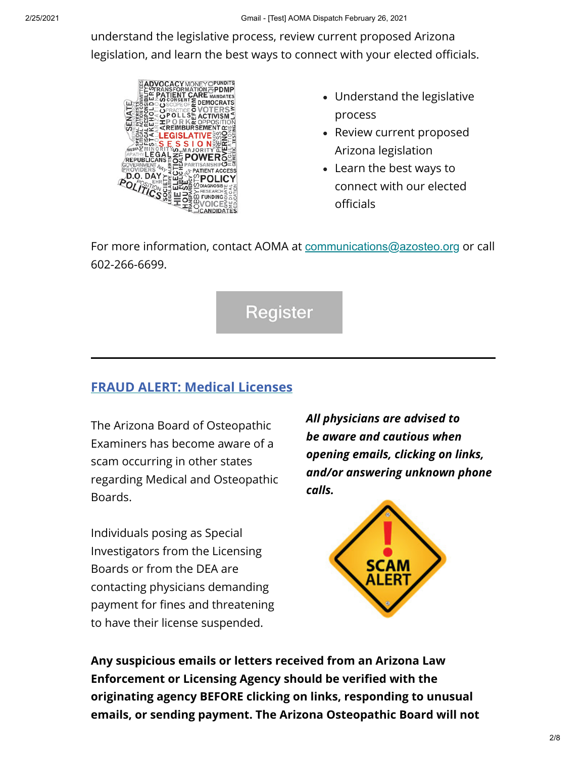understand the legislative process, review current proposed Arizona legislation, and learn the best ways to connect with your elected officials.



- Understand the legislative process
- Review current proposed Arizona legislation
- Learn the best ways to connect with our elected officials

For more information, contact AOMA at [communications@azosteo.org](mailto:communications@azosteo.org) or call 602-266-6699.



### <span id="page-1-0"></span>**FRAUD ALERT: Medical Licenses**

the control of the control of the

The Arizona Board of Osteopathic Examiners has become aware of a scam occurring in other states regarding Medical and Osteopathic Boards.

Individuals posing as Special Investigators from the Licensing Boards or from the DEA are contacting physicians demanding payment for fines and threatening to have their license suspended.

*All physicians are advised to be aware and cautious when opening emails, clicking on links, and/or answering unknown phone calls.*



**Any suspicious emails or letters received from an Arizona Law Enforcement or Licensing Agency should be verified with the originating agency BEFORE clicking on links, responding to unusual emails, or sending payment. The Arizona Osteopathic Board will not**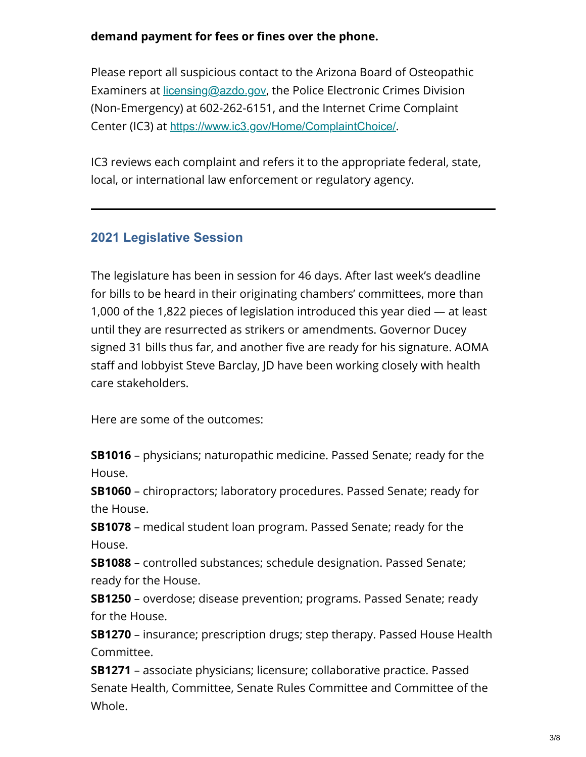#### **demand payment for fees or fines over the phone.**

Please report all suspicious contact to the Arizona Board of Osteopathic Examiners at [licensing@azdo.gov](mailto:licensing@azdo.gov), the Police Electronic Crimes Division (Non-Emergency) at 602-262-6151, and the Internet Crime Complaint Center (IC3) at [https://www.ic3.gov/Home/ComplaintChoice/](http://www.ic3.gov/complaint/).

IC3 reviews each complaint and refers it to the appropriate federal, state, local, or international law enforcement or regulatory agency.

### <span id="page-2-0"></span>**2021 Legislative Session**

The legislature has been in session for 46 days. After last week's deadline for bills to be heard in their originating chambers' committees, more than 1,000 of the 1,822 pieces of legislation introduced this year died — at least until they are resurrected as strikers or amendments. Governor Ducey signed 31 bills thus far, and another five are ready for his signature. AOMA staff and lobbyist Steve Barclay, JD have been working closely with health care stakeholders.

Here are some of the outcomes:

**SB1016** – physicians; naturopathic medicine. Passed Senate; ready for the House.

**SB1060** – chiropractors; laboratory procedures. Passed Senate; ready for the House.

**SB1078** – medical student loan program. Passed Senate; ready for the House.

**SB1088** – controlled substances; schedule designation. Passed Senate; ready for the House.

**SB1250** – overdose; disease prevention; programs. Passed Senate; ready for the House.

**SB1270** – insurance; prescription drugs; step therapy. Passed House Health Committee.

**SB1271** – associate physicians; licensure; collaborative practice. Passed Senate Health, Committee, Senate Rules Committee and Committee of the Whole.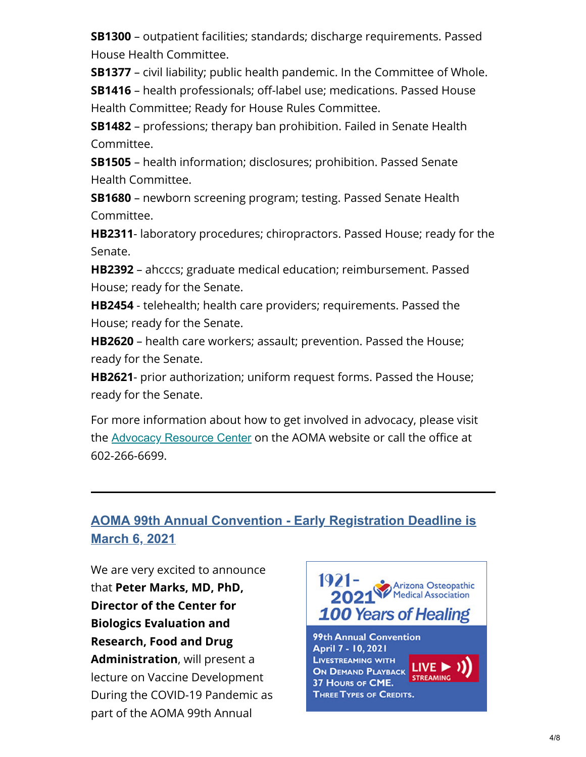**SB1300** – outpatient facilities; standards; discharge requirements. Passed House Health Committee.

**SB1377** – civil liability; public health pandemic. In the Committee of Whole.

**SB1416** – health professionals; off-label use; medications. Passed House Health Committee; Ready for House Rules Committee.

**SB1482** – professions; therapy ban prohibition. Failed in Senate Health Committee.

**SB1505** – health information; disclosures; prohibition. Passed Senate Health Committee.

**SB1680** – newborn screening program; testing. Passed Senate Health Committee.

**HB2311**- laboratory procedures; chiropractors. Passed House; ready for the Senate.

**HB2392** – ahcccs; graduate medical education; reimbursement. Passed House; ready for the Senate.

**HB2454** - telehealth; health care providers; requirements. Passed the House; ready for the Senate.

**HB2620** – health care workers; assault; prevention. Passed the House; ready for the Senate.

**HB2621**- prior authorization; uniform request forms. Passed the House; ready for the Senate.

For more information about how to get involved in advocacy, please visit the [Advocacy Resource Center](https://www.az-osteo.org/page/AdvocacyResource) on the AOMA website or call the office at 602-266-6699.

### <span id="page-3-0"></span>**AOMA 99th Annual Convention - Early Registration Deadline is March 6, 2021**

We are very excited to announce that **Peter Marks, MD, PhD, Director of the Center for Biologics Evaluation and Research, Food and Drug Administration**, will present a lecture on Vaccine Development During the COVID-19 Pandemic as part of the AOMA 99th Annual

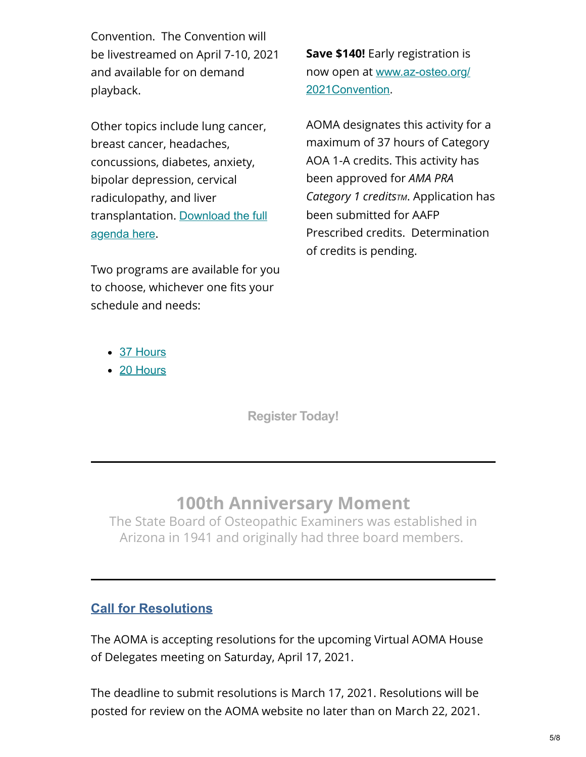Convention. The Convention will be livestreamed on April 7-10, 2021 and available for on demand playback.

Other topics include lung cancer, breast cancer, headaches, concussions, diabetes, anxiety, bipolar depression, cervical radiculopathy, and liver [transplantation.](https://aoma.ce21sites.com/wp-content/uploads/sites/24/2021/02/AOMA-99th-Annual-Convention-Agenda.pdf) Download the full agenda here.

Two programs are available for you to choose, whichever one fits your schedule and needs:

**Save \$140!** Early registration is now open at [www.az-osteo.org/](https://www.az-osteo.org/2021Convention) 2021Convention.

AOMA designates this activity for a maximum of 37 hours of Category AOA 1-A credits. This activity has been approved for *AMA PRA Category 1 creditsTM*. Application has been submitted for AAFP Prescribed credits. Determination of credits is pending.

- [37 Hours](https://aoma.ce21sites.com/wp-content/uploads/sites/24/2021/02/AOMA-99th-Annual-Convention-Agenda.pdf)
- [20 Hours](https://aoma.ce21sites.com/wp-content/uploads/sites/24/2021/02/AOMA-99th-Annual-Convention-Agenda-Two-Day-Program.pdf)

**[Register Today!](https://www.az-osteo.org/events/EventDetails.aspx?id=1216422&group=)**

# **100th Anniversary Moment**

The State Board of Osteopathic Examiners was established in Arizona in 1941 and originally had three board members.

### <span id="page-4-0"></span>**Call for Resolutions**

The AOMA is accepting resolutions for the upcoming Virtual AOMA House of Delegates meeting on Saturday, April 17, 2021.

The deadline to submit resolutions is March 17, 2021. Resolutions will be posted for review on the AOMA website no later than on March 22, 2021.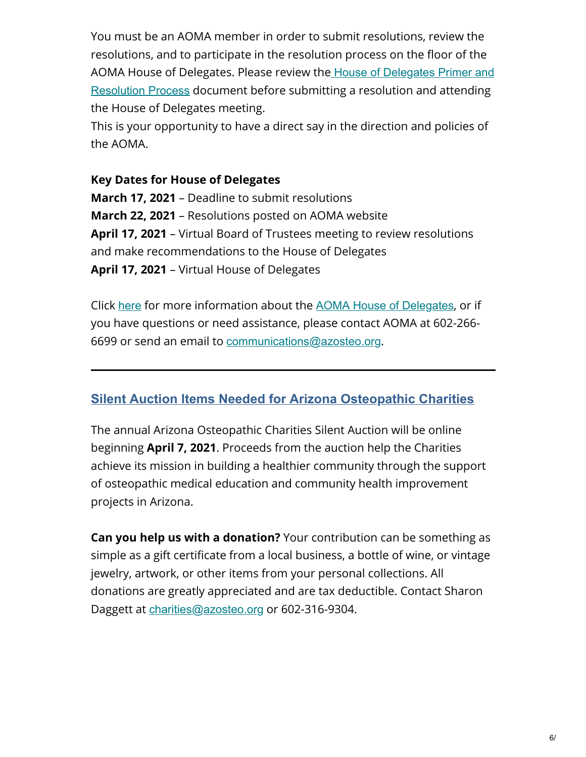You must be an AOMA member in order to submit resolutions, review the resolutions, and to participate in the resolution process on the floor of the AOMA House of Delegates. Please review the House of Delegates Primer and Resolution Process [document before submitting a resolution and attending](https://www.az-osteo.org/resource/resmgr/house_of_delegates/aoma_house_of_delegates_prim.pdf) the House of Delegates meeting.

This is your opportunity to have a direct say in the direction and policies of the AOMA.

#### **Key Dates for House of Delegates**

**March 17, 2021** – Deadline to submit resolutions **March 22, 2021** – Resolutions posted on AOMA website **April 17, 2021** – Virtual Board of Trustees meeting to review resolutions and make recommendations to the House of Delegates **April 17, 2021** – Virtual House of Delegates

Click [here](https://www.az-osteo.org/page/HouseofDelegates) for more information about the **[AOMA House of Delegates](https://www.az-osteo.org/page/HouseofDelegates)**, or if you have questions or need assistance, please contact AOMA at 602-266 6699 or send an email to [communications@azosteo.org](mailto:communications@azosteo.org).

#### <span id="page-5-0"></span>**Silent Auction Items Needed for Arizona Osteopathic Charities**

The annual Arizona Osteopathic Charities Silent Auction will be online beginning **April 7, 2021**. Proceeds from the auction help the Charities achieve its mission in building a healthier community through the support of osteopathic medical education and community health improvement projects in Arizona.

**Can you help us with a donation?** Your contribution can be something as simple as a gift certificate from a local business, a bottle of wine, or vintage jewelry, artwork, or other items from your personal collections. All donations are greatly appreciated and are tax deductible. Contact Sharon Daggett at [charities@azosteo.org](mailto:charities@azosteo.org) or 602-316-9304.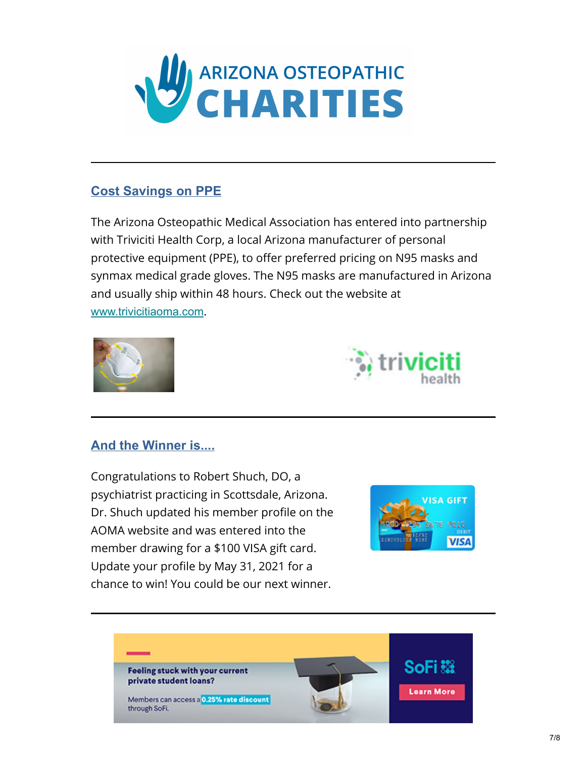

#### <span id="page-6-0"></span>**Cost Savings on PPE**

The Arizona Osteopathic Medical Association has entered into partnership with Triviciti Health Corp, a local Arizona manufacturer of personal protective equipment (PPE), to offer preferred pricing on N95 masks and synmax medical grade gloves. The N95 masks are manufactured in Arizona and usually ship within 48 hours. Check out the website at [www.trivicitiaoma.com](http://www.trivicitiaoma.com/).





#### <span id="page-6-1"></span>**And the Winner is....**

Congratulations to Robert Shuch, DO, a psychiatrist practicing in Scottsdale, Arizona. Dr. Shuch updated his member profile on the AOMA website and was entered into the member drawing for a \$100 VISA gift card. Update your profile by May 31, 2021 for a chance to win! You could be our next winner.